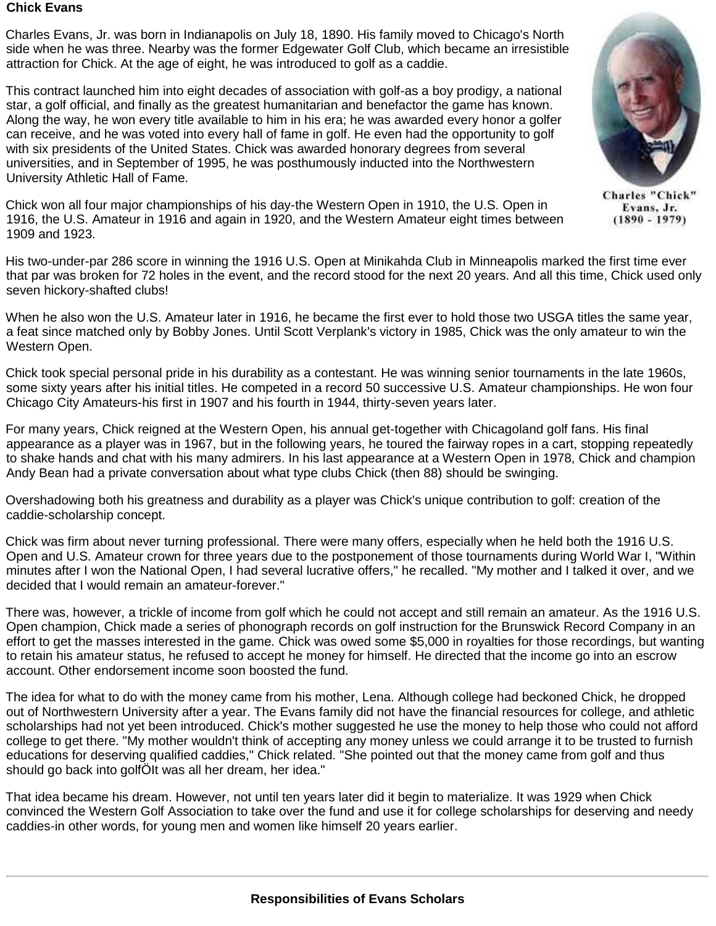## **Chick Evans**

Charles Evans, Jr. was born in Indianapolis on July 18, 1890. His family moved to Chicago's North side when he was three. Nearby was the former Edgewater Golf Club, which became an irresistible attraction for Chick. At the age of eight, he was introduced to golf as a caddie.

This contract launched him into eight decades of association with golf-as a boy prodigy, a national star, a golf official, and finally as the greatest humanitarian and benefactor the game has known. Along the way, he won every title available to him in his era; he was awarded every honor a golfer can receive, and he was voted into every hall of fame in golf. He even had the opportunity to golf with six presidents of the United States. Chick was awarded honorary degrees from several universities, and in September of 1995, he was posthumously inducted into the Northwestern University Athletic Hall of Fame.

Chick won all four major championships of his day-the Western Open in 1910, the U.S. Open in 1916, the U.S. Amateur in 1916 and again in 1920, and the Western Amateur eight times between 1909 and 1923.

His two-under-par 286 score in winning the 1916 U.S. Open at Minikahda Club in Minneapolis marked the first time ever that par was broken for 72 holes in the event, and the record stood for the next 20 years. And all this time, Chick used only seven hickory-shafted clubs!

When he also won the U.S. Amateur later in 1916, he became the first ever to hold those two USGA titles the same year, a feat since matched only by Bobby Jones. Until Scott Verplank's victory in 1985, Chick was the only amateur to win the Western Open.

Chick took special personal pride in his durability as a contestant. He was winning senior tournaments in the late 1960s, some sixty years after his initial titles. He competed in a record 50 successive U.S. Amateur championships. He won four Chicago City Amateurs-his first in 1907 and his fourth in 1944, thirty-seven years later.

For many years, Chick reigned at the Western Open, his annual get-together with Chicagoland golf fans. His final appearance as a player was in 1967, but in the following years, he toured the fairway ropes in a cart, stopping repeatedly to shake hands and chat with his many admirers. In his last appearance at a Western Open in 1978, Chick and champion Andy Bean had a private conversation about what type clubs Chick (then 88) should be swinging.

Overshadowing both his greatness and durability as a player was Chick's unique contribution to golf: creation of the caddie-scholarship concept.

Chick was firm about never turning professional. There were many offers, especially when he held both the 1916 U.S. Open and U.S. Amateur crown for three years due to the postponement of those tournaments during World War I, "Within minutes after I won the National Open, I had several lucrative offers," he recalled. "My mother and I talked it over, and we decided that I would remain an amateur-forever."

There was, however, a trickle of income from golf which he could not accept and still remain an amateur. As the 1916 U.S. Open champion, Chick made a series of phonograph records on golf instruction for the Brunswick Record Company in an effort to get the masses interested in the game. Chick was owed some \$5,000 in royalties for those recordings, but wanting to retain his amateur status, he refused to accept he money for himself. He directed that the income go into an escrow account. Other endorsement income soon boosted the fund.

The idea for what to do with the money came from his mother, Lena. Although college had beckoned Chick, he dropped out of Northwestern University after a year. The Evans family did not have the financial resources for college, and athletic scholarships had not yet been introduced. Chick's mother suggested he use the money to help those who could not afford college to get there. "My mother wouldn't think of accepting any money unless we could arrange it to be trusted to furnish educations for deserving qualified caddies," Chick related. "She pointed out that the money came from golf and thus should go back into golfÖIt was all her dream, her idea."

That idea became his dream. However, not until ten years later did it begin to materialize. It was 1929 when Chick convinced the Western Golf Association to take over the fund and use it for college scholarships for deserving and needy caddies-in other words, for young men and women like himself 20 years earlier.



**Charles "Chick"** Evans, Jr.  $(1890 - 1979)$